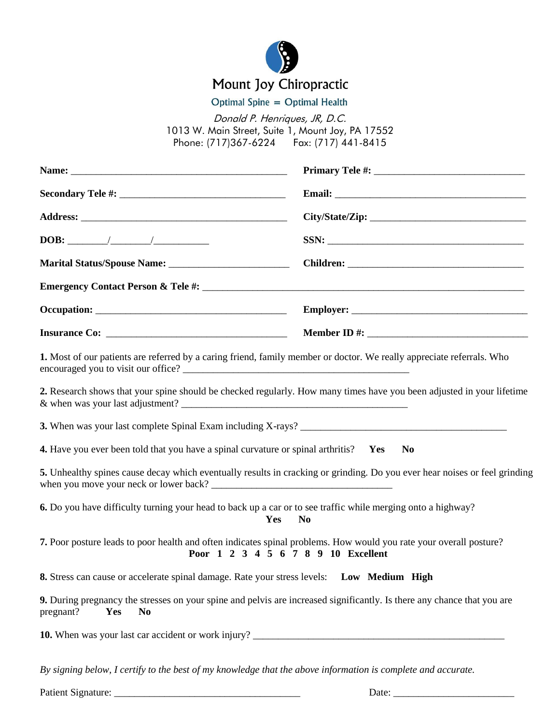

## Mount Joy Chiropractic

Optimal Spine = Optimal Health

Donald P. Henriques, JR, D.C. 1013 W. Main Street, Suite 1, Mount Joy, PA 17552 Phone: (717)367-6224 Fax: (717) 441-8415

|                                                                                                              | SSN:                                                                                                                                                      |
|--------------------------------------------------------------------------------------------------------------|-----------------------------------------------------------------------------------------------------------------------------------------------------------|
|                                                                                                              |                                                                                                                                                           |
|                                                                                                              |                                                                                                                                                           |
|                                                                                                              |                                                                                                                                                           |
|                                                                                                              |                                                                                                                                                           |
|                                                                                                              | 1. Most of our patients are referred by a caring friend, family member or doctor. We really appreciate referrals. Who                                     |
|                                                                                                              | 2. Research shows that your spine should be checked regularly. How many times have you been adjusted in your lifetime                                     |
|                                                                                                              |                                                                                                                                                           |
| <b>4.</b> Have you ever been told that you have a spinal curvature or spinal arthritis? Yes                  | <b>No</b>                                                                                                                                                 |
|                                                                                                              | 5. Unhealthy spines cause decay which eventually results in cracking or grinding. Do you ever hear noises or feel grinding                                |
| 6. Do you have difficulty turning your head to back up a car or to see traffic while merging onto a highway? | Yes<br>N <sub>0</sub>                                                                                                                                     |
|                                                                                                              | 7. Poor posture leads to poor health and often indicates spinal problems. How would you rate your overall posture?<br>Poor 1 2 3 4 5 6 7 8 9 10 Excellent |
| 8. Stress can cause or accelerate spinal damage. Rate your stress levels: Low Medium High                    |                                                                                                                                                           |
| <b>Yes</b><br>pregnant?<br>N <sub>0</sub>                                                                    | 9. During pregnancy the stresses on your spine and pelvis are increased significantly. Is there any chance that you are                                   |
|                                                                                                              |                                                                                                                                                           |
| By signing below, I certify to the best of my knowledge that the above information is complete and accurate. |                                                                                                                                                           |

Patient Signature: \_\_\_\_\_\_\_\_\_\_\_\_\_\_\_\_\_\_\_\_\_\_\_\_\_\_\_\_\_\_\_\_\_\_\_\_\_ Date: \_\_\_\_\_\_\_\_\_\_\_\_\_\_\_\_\_\_\_\_\_\_\_\_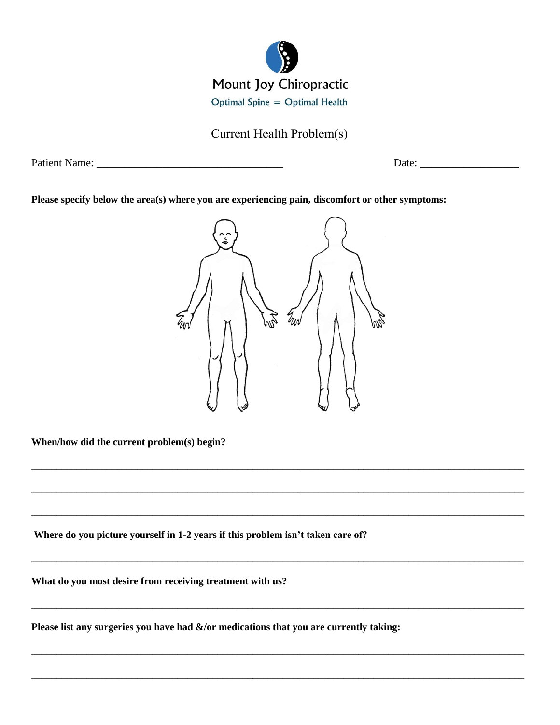

Current Health Problem(s)

Patient Name: \_\_\_\_\_\_\_\_\_\_\_\_\_\_\_\_\_\_\_\_\_\_\_\_\_\_\_\_\_\_\_\_\_\_ Date: \_\_\_\_\_\_\_\_\_\_\_\_\_\_\_\_\_\_

**Please specify below the area(s) where you are experiencing pain, discomfort or other symptoms:**



\_\_\_\_\_\_\_\_\_\_\_\_\_\_\_\_\_\_\_\_\_\_\_\_\_\_\_\_\_\_\_\_\_\_\_\_\_\_\_\_\_\_\_\_\_\_\_\_\_\_\_\_\_\_\_\_\_\_\_\_\_\_\_\_\_\_\_\_\_\_\_\_\_\_\_\_\_\_\_\_\_\_\_\_\_\_\_\_\_\_\_\_\_\_\_\_\_\_

\_\_\_\_\_\_\_\_\_\_\_\_\_\_\_\_\_\_\_\_\_\_\_\_\_\_\_\_\_\_\_\_\_\_\_\_\_\_\_\_\_\_\_\_\_\_\_\_\_\_\_\_\_\_\_\_\_\_\_\_\_\_\_\_\_\_\_\_\_\_\_\_\_\_\_\_\_\_\_\_\_\_\_\_\_\_\_\_\_\_\_\_\_\_\_\_\_\_

\_\_\_\_\_\_\_\_\_\_\_\_\_\_\_\_\_\_\_\_\_\_\_\_\_\_\_\_\_\_\_\_\_\_\_\_\_\_\_\_\_\_\_\_\_\_\_\_\_\_\_\_\_\_\_\_\_\_\_\_\_\_\_\_\_\_\_\_\_\_\_\_\_\_\_\_\_\_\_\_\_\_\_\_\_\_\_\_\_\_\_\_\_\_\_\_\_\_

\_\_\_\_\_\_\_\_\_\_\_\_\_\_\_\_\_\_\_\_\_\_\_\_\_\_\_\_\_\_\_\_\_\_\_\_\_\_\_\_\_\_\_\_\_\_\_\_\_\_\_\_\_\_\_\_\_\_\_\_\_\_\_\_\_\_\_\_\_\_\_\_\_\_\_\_\_\_\_\_\_\_\_\_\_\_\_\_\_\_\_\_\_\_\_\_\_\_

\_\_\_\_\_\_\_\_\_\_\_\_\_\_\_\_\_\_\_\_\_\_\_\_\_\_\_\_\_\_\_\_\_\_\_\_\_\_\_\_\_\_\_\_\_\_\_\_\_\_\_\_\_\_\_\_\_\_\_\_\_\_\_\_\_\_\_\_\_\_\_\_\_\_\_\_\_\_\_\_\_\_\_\_\_\_\_\_\_\_\_\_\_\_\_\_\_\_

\_\_\_\_\_\_\_\_\_\_\_\_\_\_\_\_\_\_\_\_\_\_\_\_\_\_\_\_\_\_\_\_\_\_\_\_\_\_\_\_\_\_\_\_\_\_\_\_\_\_\_\_\_\_\_\_\_\_\_\_\_\_\_\_\_\_\_\_\_\_\_\_\_\_\_\_\_\_\_\_\_\_\_\_\_\_\_\_\_\_\_\_\_\_\_\_\_\_

\_\_\_\_\_\_\_\_\_\_\_\_\_\_\_\_\_\_\_\_\_\_\_\_\_\_\_\_\_\_\_\_\_\_\_\_\_\_\_\_\_\_\_\_\_\_\_\_\_\_\_\_\_\_\_\_\_\_\_\_\_\_\_\_\_\_\_\_\_\_\_\_\_\_\_\_\_\_\_\_\_\_\_\_\_\_\_\_\_\_\_\_\_\_\_\_\_\_

**When/how did the current problem(s) begin?**

**Where do you picture yourself in 1-2 years if this problem isn't taken care of?**

**What do you most desire from receiving treatment with us?**

**Please list any surgeries you have had &/or medications that you are currently taking:**